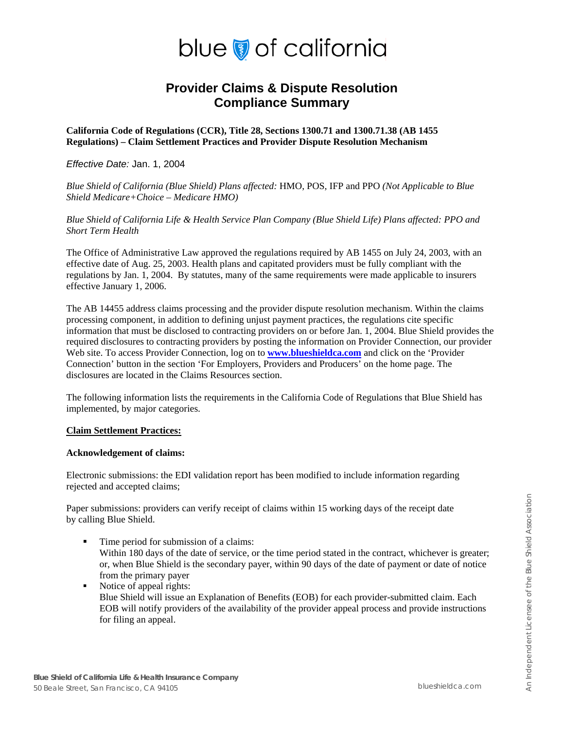# blue of california

# **Provider Claims & Dispute Resolution Compliance Summary**

**California Code of Regulations (CCR), Title 28, Sections 1300.71 and 1300.71.38 (AB 1455 Regulations) – Claim Settlement Practices and Provider Dispute Resolution Mechanism** 

### *Effective Date:* Jan. 1, 2004

*Blue Shield of California (Blue Shield) Plans affected:* HMO, POS, IFP and PPO *(Not Applicable to Blue Shield Medicare+Choice – Medicare HMO)* 

*Blue Shield of California Life & Health Service Plan Company (Blue Shield Life) Plans affected: PPO and Short Term Health* 

The Office of Administrative Law approved the regulations required by AB 1455 on July 24, 2003, with an effective date of Aug. 25, 2003. Health plans and capitated providers must be fully compliant with the regulations by Jan. 1, 2004. By statutes, many of the same requirements were made applicable to insurers effective January 1, 2006.

The AB 14455 address claims processing and the provider dispute resolution mechanism. Within the claims processing component, in addition to defining unjust payment practices, the regulations cite specific information that must be disclosed to contracting providers on or before Jan. 1, 2004. Blue Shield provides the required disclosures to contracting providers by posting the information on Provider Connection, our provider Web site. To access Provider Connection, log on to **[www.blueshieldca.com](http://www.blueshieldca.com/)** and click on the 'Provider' Connection' button in the section 'For Employers, Providers and Producers' on the home page. The disclosures are located in the Claims Resources section.

The following information lists the requirements in the California Code of Regulations that Blue Shield has implemented, by major categories.

#### **Claim Settlement Practices:**

#### **Acknowledgement of claims:**

Electronic submissions: the EDI validation report has been modified to include information regarding rejected and accepted claims;

Paper submissions: providers can verify receipt of claims within 15 working days of the receipt date by calling Blue Shield.

- Time period for submission of a claims: Within 180 days of the date of service, or the time period stated in the contract, whichever is greater; or, when Blue Shield is the secondary payer, within 90 days of the date of payment or date of notice from the primary payer
- Notice of appeal rights: Blue Shield will issue an Explanation of Benefits (EOB) for each provider-submitted claim. Each EOB will notify providers of the availability of the provider appeal process and provide instructions for filing an appeal.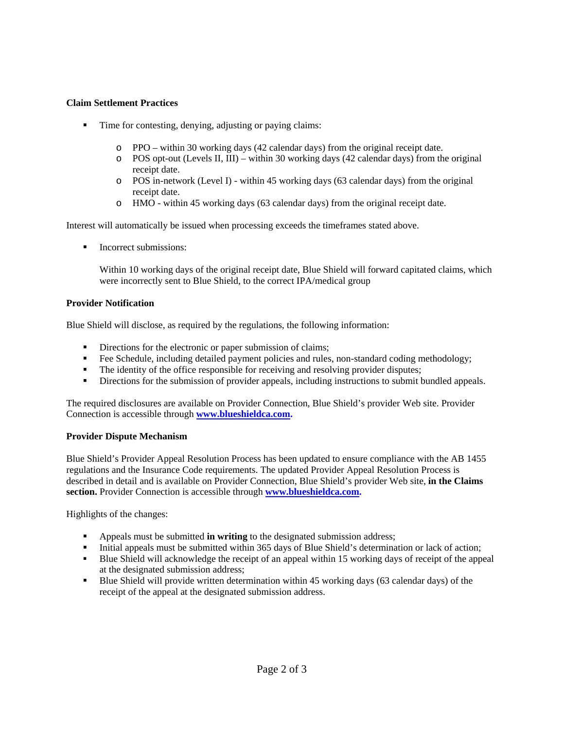# **Claim Settlement Practices**

- Time for contesting, denying, adjusting or paying claims:
	- o PPO within 30 working days (42 calendar days) from the original receipt date.
	- $\circ$  POS opt-out (Levels II, III) within 30 working days (42 calendar days) from the original receipt date.
	- o POS in-network (Level I) within 45 working days (63 calendar days) from the original receipt date.
	- o HMO within 45 working days (63 calendar days) from the original receipt date.

Interest will automatically be issued when processing exceeds the timeframes stated above.

■ Incorrect submissions:

Within 10 working days of the original receipt date, Blue Shield will forward capitated claims, which were incorrectly sent to Blue Shield, to the correct IPA/medical group

### **Provider Notification**

Blue Shield will disclose, as required by the regulations, the following information:

- Directions for the electronic or paper submission of claims;
- Fee Schedule, including detailed payment policies and rules, non-standard coding methodology;
- The identity of the office responsible for receiving and resolving provider disputes;
- **Directions for the submission of provider appeals, including instructions to submit bundled appeals.**

The required disclosures are available on Provider Connection, Blue Shield's provider Web site. Provider Connection is accessible through **[www.blueshieldca.com](http://www.mylifepath.com/).** 

#### **Provider Dispute Mechanism**

Blue Shield's Provider Appeal Resolution Process has been updated to ensure compliance with the AB 1455 regulations and the Insurance Code requirements. The updated Provider Appeal Resolution Process is described in detail and is available on Provider Connection, Blue Shield's provider Web site, **in the Claims section.** Provider Connection is accessible through **[www.blueshieldca.com](http://www.blueshieldca.com/).**

Highlights of the changes:

- Appeals must be submitted **in writing** to the designated submission address;
- Initial appeals must be submitted within 365 days of Blue Shield's determination or lack of action;
- Blue Shield will acknowledge the receipt of an appeal within 15 working days of receipt of the appeal at the designated submission address;
- Blue Shield will provide written determination within 45 working days (63 calendar days) of the receipt of the appeal at the designated submission address.